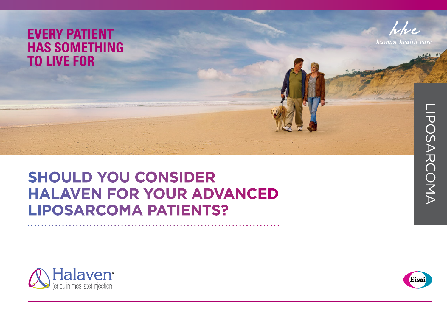# **EVERY PATIENT HAS SOMETHING TO LIVE FOR**



human health car

# **SHOULD YOU CONSIDER HALAVEN FOR YOUR ADVANCED LIPOSARCOMA PATIENTS?**



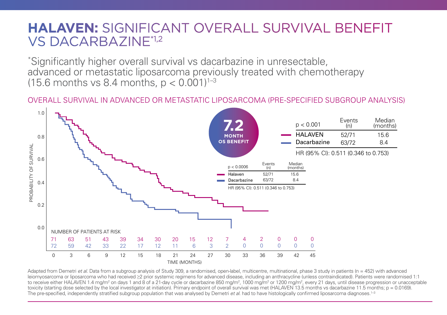# **HALAVEN:** SIGNIFICANT OVERALL SURVIVAL BENEFIT VS DACARBAZINE\*1,2

\* Significantly higher overall survival vs dacarbazine in unresectable, advanced or metastatic liposarcoma previously treated with chemotherapy (15.6 months vs 8.4 months,  $p < 0.001$ )<sup>1-3</sup>

#### OVERALL SURVIVAL IN ADVANCED OR METASTATIC LIPOSARCOMA (PRE-SPECIFIED SUBGROUP ANALYSIS)



Adapted from Demetri *et al*. Data from a subgroup analysis of Study 309, a randomised, open-label, multicentre, multinational, phase 3 study in patients (n = 452) with advanced leiomyosarcoma or liposarcoma who had received ≥2 prior systemic regimens for advanced disease, including an anthracycline (unless contraindicated). Patients were randomised 1:1 to receive either HALAVEN 1.4 mg/m<sup>2</sup> on days 1 and 8 of a 21-day cycle or dacarbazine 850 mg/m<sup>2</sup>, 1000 mg/m<sup>2</sup> or 1200 mg/m<sup>2</sup>, every 21 days, until disease progression or unacceptable toxicity (starting dose selected by the local investigator at initiation). Primary endpoint of overall survival was met (HALAVEN 13.5 months vs dacarbazine 11.5 months; p = 0.0169).<br>The pre-specified independently stratif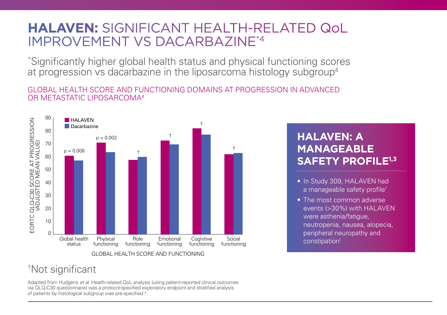# **HALAVEN:** SIGNIFICANT HEALTH-RELATED QoL IMPROVEMENT VS DACARBAZINE\*4

\* Significantly higher global health status and physical functioning scores at progression vs dacarbazine in the liposarcoma histology subgroup<sup>4</sup>

GLOBAL HEALTH SCORE AND FUNCTIONING DOMAINS AT PROGRESSION IN ADVANCED OR METASTATIC LIPOSARCOMA4



### † Not significant

Adapted from Hudgens *et al*. Health-related QoL analysis (using patient-reported clinical outcomes via QLQ-C30 questionnaire) was a protocol-specified exploratory endpoint and stratified analysis of patients by histological subgroup was pre-specified.4

#### **HALAVEN: A MANAGEABLE SAFETY PROFILE1,3**

- In Study 309, HALAVEN had a manageable safety profile<sup>1</sup>
- The most common adverse events (>30%) with HALAVEN were asthenia/fatigue, neutropenia, nausea, alopecia, peripheral neuropathy and constipation1